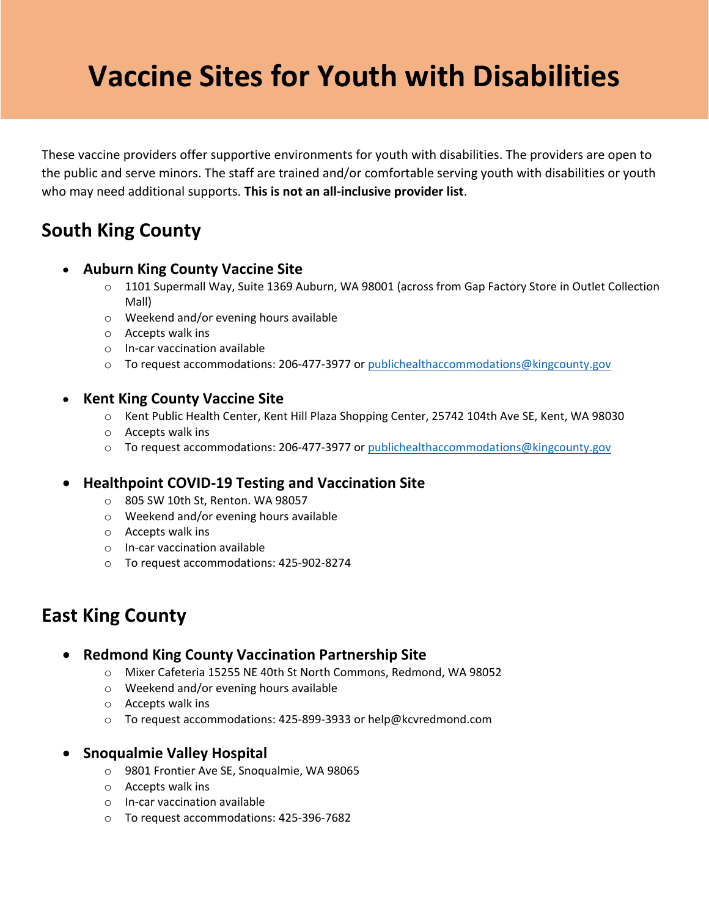# **Vaccine Sites for Youth with Disabilities**

These vaccine providers offer supportive environments for youth with disabilities. The providers are open to the public and serve minors. The staff are trained and/or comfortable serving youth with disabilities or youth who may need additional supports. **This is not an all-inclusive provider list**.

# **South King County**

#### • **Auburn King County Vaccine Site**

- o 1101 Supermall Way, Suite 1369 Auburn, WA 98001 (across from Gap Factory Store in Outlet Collection Mall)
- o Weekend and/or evening hours available
- o Accepts walk ins
- o In-car vaccination available
- o To request accommodations: 206-477-3977 or [publichealthaccommodations@kingcounty.gov](mailto:publichealthaccommodations@kingcounty.gov)

### • **Kent King County Vaccine Site**

- o Kent Public Health Center, Kent Hill Plaza Shopping Center, 25742 104th Ave SE, Kent, WA 98030
- o Accepts walk ins
- o To request accommodations: 206-477-3977 or [publichealthaccommodations@kingcounty.gov](mailto:publichealthaccommodations@kingcounty.gov)

### • **Healthpoint COVID-19 Testing and Vaccination Site**

- o 805 SW 10th St, Renton. WA 98057
- o Weekend and/or evening hours available
- o Accepts walk ins
- o In-car vaccination available
- o To request accommodations: 425-902-8274

## **East King County**

### • **Redmond King County Vaccination Partnership Site**

- o Mixer Cafeteria 15255 NE 40th St North Commons, Redmond, WA 98052
- o Weekend and/or evening hours available
- o Accepts walk ins
- o To request accommodations: 425-899-3933 or help@kcvredmond.com

### • **Snoqualmie Valley Hospital**

- o 9801 Frontier Ave SE, Snoqualmie, WA 98065
- o Accepts walk ins
- o In-car vaccination available
- o To request accommodations: 425-396-7682